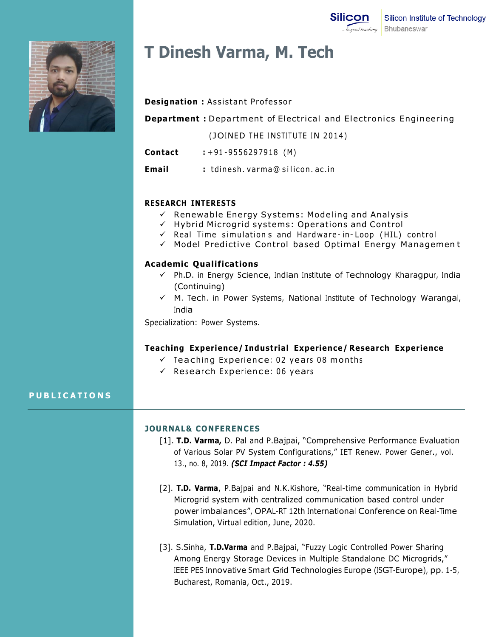

# **T Dinesh Varma, M. Tech**

## **Designation : Assistant Professor**

**Department :** Department of Electrical and Electronics Engineering

- (JOINED THE INSTITUTE IN 2014)
- **Contact :** + 91 -955629 7918 (M)
- **Email :** tdinesh . varma@ silicon . ac . in

## **RESEARCH INTERESTS**

- $\checkmark$  Renewable Energy Systems: Modeling and Analysis
- $\checkmark$  Hybrid Microgrid systems: Operations and Control
- $\checkmark$  Real Time simulations and Hardware-in-Loop (HIL) control
- $\checkmark$  Model Predictive Control based Optimal Energy Management

#### **Academic Qualifications**

- $\checkmark$  Ph.D. in Energy Science, Indian Institute of Technology Kharagpur, India (Continuing)
- $\checkmark$  M. Tech. in Power Systems, National Institute of Technology Warangal, India

Specialization: Power Systems.

#### **Teaching Experience/ Industrial Experience/ Research Experience**

- $\checkmark$  Teaching Experience: 02 years 08 months
- $\checkmark$  Research Experience: 06 years

## **P U B L I C A T I O N S**

## **JOURNAL& CONFERENCES**

- [1]. **T.D. Varma,** D. Pal and P.Bajpai, "Comprehensive Performance Evaluation of Various Solar PV System Configurations," IET Renew. Power Gener., vol. 13., no. 8, 2019. *(SCI Impact Factor : 4.55)*
- [2]. **T.D. Varma**, P.Bajpai and N.K.Kishore, "Real-time communication in Hybrid Microgrid system with centralized communication based control under power imbalances", OPAL-RT 12th International Conference on Real-Time Simulation, Virtual edition, June, 2020.
- [3]. S.Sinha, **T.D.Varma** and P.Bajpai, "Fuzzy Logic Controlled Power Sharing Among Energy Storage Devices in Multiple Standalone DC Microgrids," IEEE PES Innovative Smart Grid Technologies Europe (ISGT-Europe), pp. 1-5, Bucharest, Romania, Oct., 2019.